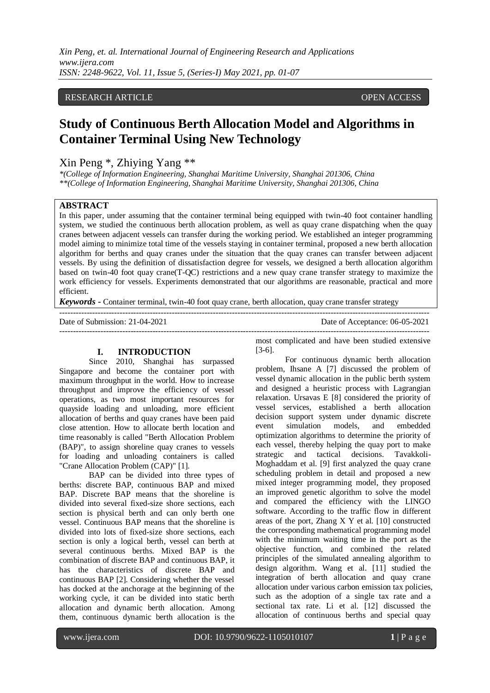# RESEARCH ARTICLE OPEN ACCESS OPEN ACCESS

# **Study of Continuous Berth Allocation Model and Algorithms in Container Terminal Using New Technology**

# Xin Peng \*, Zhiying Yang \*\*

*\*(College of Information Engineering, Shanghai Maritime University, Shanghai 201306, China \*\*(College of Information Engineering, Shanghai Maritime University, Shanghai 201306, China* 

# **ABSTRACT**

In this paper, under assuming that the container terminal being equipped with twin-40 foot container handling system, we studied the continuous berth allocation problem, as well as quay crane dispatching when the quay cranes between adjacent vessels can transfer during the working period. We established an integer programming model aiming to minimize total time of the vessels staying in container terminal, proposed a new berth allocation algorithm for berths and quay cranes under the situation that the quay cranes can transfer between adjacent vessels. By using the definition of dissatisfaction degree for vessels, we designed a berth allocation algorithm based on twin-40 foot quay crane(T-QC) restrictions and a new quay crane transfer strategy to maximize the work efficiency for vessels. Experiments demonstrated that our algorithms are reasonable, practical and more efficient.

---------------------------------------------------------------------------------------------------------------------------------------

---------------------------------------------------------------------------------------------------------------------------------------

*Keywords* **-** Container terminal, twin-40 foot quay crane, berth allocation, quay crane transfer strategy

Date of Submission: 21-04-2021 Date of Acceptance: 06-05-2021

# **I. INTRODUCTION**

Since 2010, Shanghai has surpassed Singapore and become the container port with maximum throughput in the world. How to increase throughput and improve the efficiency of vessel operations, as two most important resources for quayside loading and unloading, more efficient allocation of berths and quay cranes have been paid close attention. How to allocate berth location and time reasonably is called "Berth Allocation Problem (BAP)", to assign shoreline quay cranes to vessels for loading and unloading containers is called "Crane Allocation Problem (CAP)" [1].

BAP can be divided into three types of berths: discrete BAP, continuous BAP and mixed BAP. Discrete BAP means that the shoreline is divided into several fixed-size shore sections, each section is physical berth and can only berth one vessel. Continuous BAP means that the shoreline is divided into lots of fixed-size shore sections, each section is only a logical berth, vessel can berth at several continuous berths. Mixed BAP is the combination of discrete BAP and continuous BAP, it has the characteristics of discrete BAP and continuous BAP [2]. Considering whether the vessel has docked at the anchorage at the beginning of the working cycle, it can be divided into static berth allocation and dynamic berth allocation. Among them, continuous dynamic berth allocation is the most complicated and have been studied extensive [3-6].

For continuous dynamic berth allocation problem, Ihsane A [7] discussed the problem of vessel dynamic allocation in the public berth system and designed a heuristic process with Lagrangian relaxation. Ursavas E [8] considered the priority of vessel services, established a berth allocation decision support system under dynamic discrete event simulation models, and embedded optimization algorithms to determine the priority of each vessel, thereby helping the quay port to make strategic and tactical decisions. Tavakkoli-Moghaddam et al. [9] first analyzed the quay crane scheduling problem in detail and proposed a new mixed integer programming model, they proposed an improved genetic algorithm to solve the model and compared the efficiency with the LINGO software. According to the traffic flow in different areas of the port, Zhang X Y et al. [10] constructed the corresponding mathematical programming model with the minimum waiting time in the port as the objective function, and combined the related principles of the simulated annealing algorithm to design algorithm. Wang et al. [11] studied the integration of berth allocation and quay crane allocation under various carbon emission tax policies, such as the adoption of a single tax rate and a sectional tax rate. Li et al. [12] discussed the allocation of continuous berths and special quay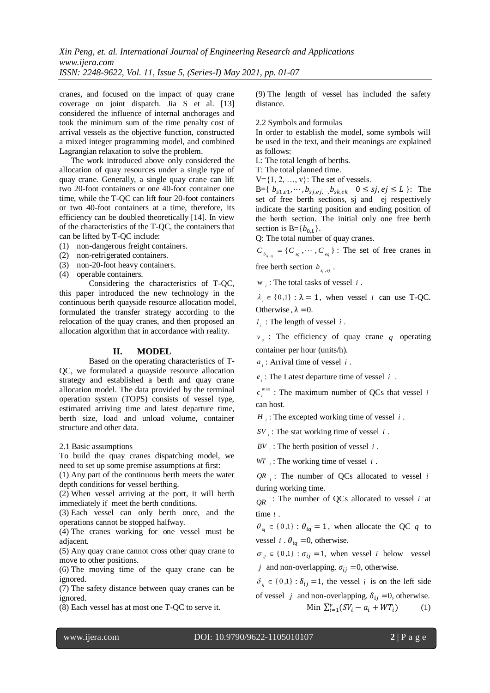cranes, and focused on the impact of quay crane coverage on joint dispatch. Jia S et al. [13] considered the influence of internal anchorages and took the minimum sum of the time penalty cost of arrival vessels as the objective function, constructed a mixed integer programming model, and combined Lagrangian relaxation to solve the problem.

The work introduced above only considered the allocation of quay resources under a single type of quay crane. Generally, a single quay crane can lift two 20-foot containers or one 40-foot container one time, while the T-QC can lift four 20-foot containers or two 40-foot containers at a time, therefore, its efficiency can be doubled theoretically [14]. In view of the characteristics of the T-QC, the containers that can be lifted by T-QC include:

- (1) non-dangerous freight containers.
- (2) non-refrigerated containers.
- (3) non-20-foot heavy containers.
- (4) operable containers.

Considering the characteristics of T-QC, this paper introduced the new technology in the continuous berth quayside resource allocation model, formulated the transfer strategy according to the relocation of the quay cranes, and then proposed an allocation algorithm that in accordance with reality.

# **II. MODEL**

Based on the operating characteristics of T-QC, we formulated a quayside resource allocation strategy and established a berth and quay crane allocation model. The data provided by the terminal operation system (TOPS) consists of vessel type, estimated arriving time and latest departure time, berth size, load and unload volume, container structure and other data.

2.1 Basic assumptions

To build the quay cranes dispatching model, we need to set up some premise assumptions at first:

(1) Any part of the continuous berth meets the water depth conditions for vessel berthing.

(2) When vessel arriving at the port, it will berth immediately if meet the berth conditions.

(3) Each vessel can only berth once, and the operations cannot be stopped halfway.

(4) The cranes working for one vessel must be adjacent.

(5) Any quay crane cannot cross other quay crane to move to other positions.

(6) The moving time of the quay crane can be ignored.

(7) The safety distance between quay cranes can be ignored.

(8) Each vessel has at most one T-QC to serve it.

(9) The length of vessel has included the safety distance.

2.2 Symbols and formulas

In order to establish the model, some symbols will be used in the text, and their meanings are explained as follows:

L: The total length of berths.

T: The total planned time.

 $V = \{1, 2, ..., v\}$ : The set of vessels.

B={ $b_{s1, e1}$ , ...,  $b_{s1, e1}$ ,  $b_{s1, e1}$   $0 \leq sj, ej \leq L$  }: The set of free berth sections, sj and ej respectively indicate the starting position and ending position of the berth section. The initial only one free berth section is  $B = \{b_{0L}\}.$ 

Q: The total number of quay cranes.

 $C_{b_{g,ej}} = \{ C_{sq}, \dots, C_{eq} \}$ : The set of free cranes in free berth section  $b_{s_j,e_j}$ .

w *<sup>i</sup>* : The total tasks of vessel *i* .

 $\lambda_i \in \{0,1\}$ :  $\lambda = 1$ , when vessel *i* can use T-QC. Otherwise  $\lambda = 0$ .

 $l_i$ : The length of vessel *i*.

 $v_q$ : The efficiency of quay crane q operating container per hour (units/h).

*i a* : Arrival time of vessel *i* .

*i e* : The Latest departure time of vessel *i* .

m ax  $c_i^{\max}$ : The maximum number of QCs that vessel *i* can host.

*H i* : The excepted working time of vessel *i* .

*i SV* : The stat working time of vessel *i* .

 $BV$ <sub>*i*</sub>: The berth position of vessel *i*.

*WT <sup>i</sup>* : The working time of vessel *i* .

 $QR_i$ : The number of QCs allocated to vessel *i* during working time.

 $QR$ <sup>:</sup> The number of QCs allocated to vessel *i* at *i* time *t* .

 $\theta_{i_q} \in \{0,1\}$ :  $\theta_{iq} = 1$ , when allocate the QC q to vessel *i*  $\theta_{ia} = 0$ , otherwise.

 $\sigma_{ij} \in \{0,1\}$ :  $\sigma_{ij} = 1$ , when vessel *i* below vessel *j* and non-overlapping.  $\sigma_{ij} = 0$ , otherwise.

 $\delta_{ij} \in \{0,1\}$ :  $\delta_{ij} = 1$ , the vessel *i* is on the left side of vessel *j* and non-overlapping.  $\delta_{ij} = 0$ , otherwise.  $_{i=1}^{v}(SV_i - a_i + WT_i)$ (1)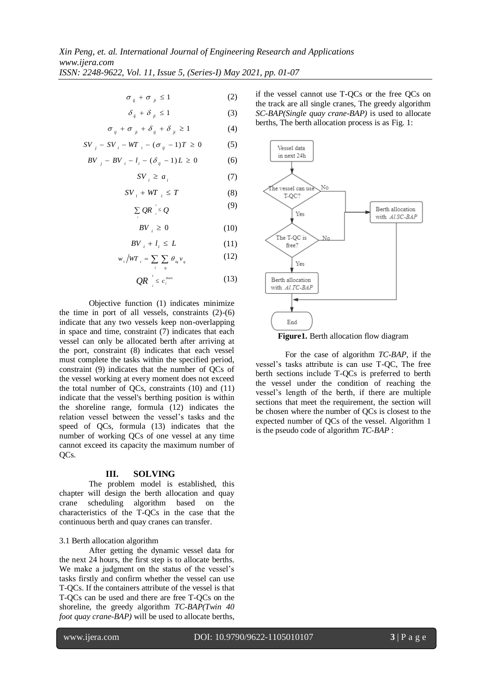$$
\sigma_{ij} + \sigma_{ji} \le 1 \tag{2}
$$

$$
\delta_{ij} + \delta_{ji} \le 1 \tag{3}
$$

$$
\sigma_{ij} + \sigma_{ji} + \delta_{ij} + \delta_{ji} \ge 1 \tag{4}
$$

$$
SV_{j} - SV_{i} - WT_{i} - (\sigma_{ij} - 1)T \ge 0
$$
 (5)

$$
BV_{j} - BV_{i} - l_{i} - (\delta_{ij} - 1)L \ge 0
$$
 (6)

*i*

$$
SV_i \ge a_i \tag{7}
$$

$$
SV_{i} + WT_{i} \leq T \tag{8}
$$

$$
\sum QR \le Q \tag{9}
$$

$$
BV_{i} \geq 0 \tag{10}
$$

$$
BV_{i} + l_{i} \le L \tag{11}
$$

$$
w_i / WT_i = \sum_i \sum_q \theta_{iq} v_q \tag{12}
$$

$$
QR \big|_{i} \leq c_i^{\max} \tag{13}
$$

Objective function (1) indicates minimize the time in port of all vessels, constraints  $(2)-(6)$ indicate that any two vessels keep non-overlapping in space and time, constraint (7) indicates that each vessel can only be allocated berth after arriving at the port, constraint (8) indicates that each vessel must complete the tasks within the specified period, constraint (9) indicates that the number of QCs of the vessel working at every moment does not exceed the total number of QCs, constraints (10) and (11) indicate that the vessel's berthing position is within the shoreline range, formula (12) indicates the relation vessel between the vessel's tasks and the speed of QCs, formula (13) indicates that the number of working QCs of one vessel at any time cannot exceed its capacity the maximum number of QCs.

#### **III. SOLVING**

The problem model is established, this chapter will design the berth allocation and quay crane scheduling algorithm based on the characteristics of the T-QCs in the case that the continuous berth and quay cranes can transfer.

#### 3.1 Berth allocation algorithm

After getting the dynamic vessel data for the next 24 hours, the first step is to allocate berths. We make a judgment on the status of the vessel's tasks firstly and confirm whether the vessel can use T-QCs. If the containers attribute of the vessel is that T-QCs can be used and there are free T-QCs on the shoreline, the greedy algorithm *TC-BAP(Twin 40 foot quay crane-BAP*) will be used to allocate berths,

if the vessel cannot use T-QCs or the free QCs on the track are all single cranes, The greedy algorithm *SC-BAP(Single quay crane-BAP)* is used to allocate berths, The berth allocation process is as Fig. 1:



**Figure1.** Berth allocation flow diagram

For the case of algorithm *TC-BAP*, if the vessel's tasks attribute is can use T-QC, The free berth sections include T-QCs is preferred to berth the vessel under the condition of reaching the vessel's length of the berth, if there are multiple sections that meet the requirement, the section will be chosen where the number of QCs is closest to the expected number of QCs of the vessel. Algorithm 1 is the pseudo code of algorithm *TC-BAP* :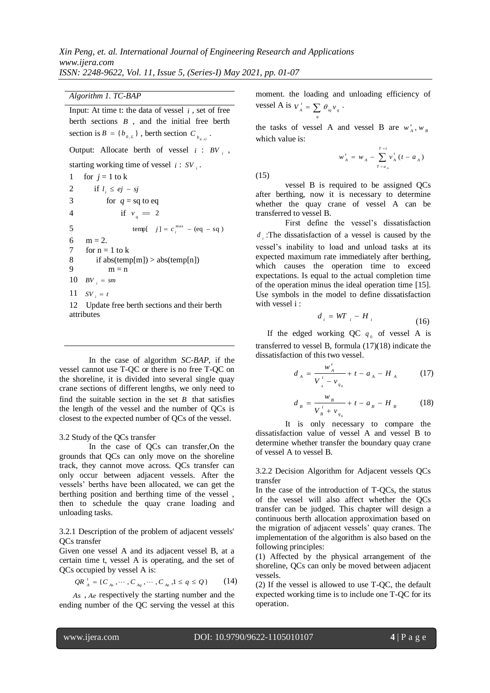*[Algorithm](file:///D:/Program%20Files%20(x86)/Youdao/Dict/8.9.6.0/resultui/html/index.html#/javascript:;) 1. TC-BAP*

Input: At time t: the data of vessel  $i$ , set of free berth sections *B* , and the initial free berth section is  $B = \{b_{0,L}\}\$ , berth section  $C_{b_{g,ej}}\$ . Output: Allocate berth of vessel  $i : BV_i$ , starting working time of vessel  $i:SV_i$ . 1 for  $i = 1$  to k

2 if  $l_i \le ej - sj$ 3 for  $q = sq$  to eq 4 if  $v_q = 2$ 5  $[Imp[$  *i*  $j] = c_i^{\max} - (eq - sq)$ 6  $m = 2$ . 7 for  $n = 1$  to k 8 if abs(temp[m]) > abs(temp[n]) 9  $m = n$ 10  $BV_i = sm$ 11  $SV_i = t$ 12 Update free berth sections and their berth

attributes

In the case of algorithm *SC-BAP*, if the vessel cannot use T-QC or there is no free T-QC on the shoreline, it is divided into several single quay crane sections of different lengths, we only need to find the suitable section in the set  $B$  that satisfies the length of the vessel and the number of QCs is closest to the expected number of QCs of the vessel.

# 3.2 Study of the QCs transfer

In the case of QCs can transfer,On the grounds that QCs can only move on the shoreline track, they cannot move across. QCs transfer can only occur between adjacent vessels. After the vessels' berths have been allocated, we can get the berthing position and berthing time of the vessel , then to schedule the quay crane loading and unloading tasks.

3.2.1 Description of the problem of adjacent vessels' QCs transfer

Given one vessel A and its adjacent vessel B, at a certain time t, vessel A is operating, and the set of QCs occupied by vessel A is:

$$
QR_{A}^{t} = \{C_{A_s}, \cdots, C_{A_q}, \cdots, C_{A_e}, 1 \leq q \leq Q\}
$$
 (14)

*As* , *Ae* respectively the starting number and the ending number of the QC serving the vessel at this

moment. the loading and unloading efficiency of vessel A is  $V_A^t = \sum \theta_{iq} v_q$ .

the tasks of vessel A and vessel B are  $w'_{A}$ ,  $w_{B}$ which value is:

*q*

$$
w'_{A} = w_{A} - \sum_{T=a_{A}}^{T=t} v_{A}^{t} (t - a_{A})
$$

(15)

vessel B is required to be assigned QCs after berthing, now it is necessary to determine whether the quay crane of vessel A can be transferred to vessel B.

First define the vessel's dissatisfaction  $d_i$ : The dissatisfaction of a vessel is caused by the vessel's inability to load and unload tasks at its expected maximum rate immediately after berthing, which causes the operation time to exceed expectations. Is equal to the actual completion time of the operation minus the ideal operation time [15]. Use symbols in the model to define dissatisfaction with vessel i :

$$
d_i = WT_{i} - H_i \tag{16}
$$

If the edged working QC  $q_0$  of vessel A is transferred to vessel B, formula (17)(18) indicate the dissatisfaction of this two vessel.

$$
d_A = \frac{w'_A}{V'_A - v_{q_0}} + t - a_A - H_A \tag{17}
$$

$$
d_{B} = \frac{w_{B}}{V_{B}^{t} + v_{q_{0}}} + t - a_{B} - H_{B}
$$
 (18)

It is only necessary to compare the dissatisfaction value of vessel A and vessel B to determine whether transfer the boundary quay crane of vessel A to vessel B.

3.2.2 Decision Algorithm for Adjacent vessels QCs transfer

In the case of the introduction of T-QCs, the status of the vessel will also affect whether the QCs transfer can be judged. This chapter will design a continuous berth allocation approximation based on the migration of adjacent vessels' quay cranes. The implementation of the algorithm is also based on the following principles:

(1) Affected by the physical arrangement of the shoreline, QCs can only be moved between adjacent vessels.

(2) If the vessel is allowed to use T-QC, the default expected working time is to include one T-QC for its operation.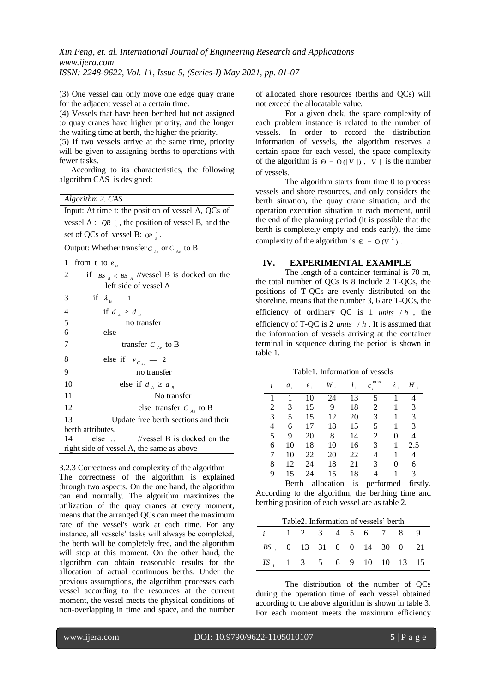(3) One vessel can only move one edge quay crane for the adjacent vessel at a certain time.

(4) Vessels that have been berthed but not assigned to quay cranes have higher priority, and the longer the waiting time at berth, the higher the priority.

(5) If two vessels arrive at the same time, priority will be given to assigning berths to operations with fewer tasks.

According to its characteristics, the following algorithm CAS is designed:

*Algorithm 2. CAS*

Input: At time t: the position of vessel A, QCs of vessel A:  $QR_{A}^{t}$ , the position of vessel B, and the set of QCs of vessel B:  $QR_{B}$ .

Output: Whether transfer  $C_{As}$  or  $C_{Ae}$  to B

```
1 from t to 
e
```

| Ŧ.                                        | $11$ $0111$ $11$ $10$ $e_n$                  |  |  |  |  |
|-------------------------------------------|----------------------------------------------|--|--|--|--|
| 2                                         | if $BS_R < BS_A$ //vessel B is docked on the |  |  |  |  |
|                                           | left side of vessel A                        |  |  |  |  |
| 3                                         | if $\lambda_{\rm B} = 1$                     |  |  |  |  |
| $\overline{4}$                            | if $d_A \geq d_B$                            |  |  |  |  |
| 5                                         | no transfer                                  |  |  |  |  |
| 6                                         | else                                         |  |  |  |  |
| 7                                         | transfer $C_{Ae}$ to B                       |  |  |  |  |
| 8                                         | else if $v_{c_{1}} = 2$                      |  |  |  |  |
| 9                                         | no transfer                                  |  |  |  |  |
| 10                                        | else if $d_A \geq d_B$                       |  |  |  |  |
| 11                                        | No transfer                                  |  |  |  |  |
| 12                                        | else transfer $C_{Ae}$ to B                  |  |  |  |  |
| 13                                        | Update free berth sections and their         |  |  |  |  |
|                                           | berth attributes.                            |  |  |  |  |
| 14                                        | else $\ldots$ //vessel B is docked on the    |  |  |  |  |
| right side of vessel A, the same as above |                                              |  |  |  |  |
|                                           |                                              |  |  |  |  |

3.2.3 Correctness and complexity of the algorithm The correctness of the algorithm is explained through two aspects. On the one hand, the algorithm can end normally. The algorithm maximizes the utilization of the quay cranes at every moment, means that the arranged QCs can meet the maximum rate of the vessel's work at each time. For any instance, all vessels' tasks will always be completed, the berth will be completely free, and the algorithm will stop at this moment. On the other hand, the algorithm can obtain reasonable results for the allocation of actual continuous berths. Under the previous assumptions, the algorithm processes each vessel according to the resources at the current moment, the vessel meets the physical conditions of non-overlapping in time and space, and the number

of allocated shore resources (berths and QCs) will not exceed the allocatable value.

For a given dock, the space complexity of each problem instance is related to the number of vessels. In order to record the distribution information of vessels, the algorithm reserves a certain space for each vessel, the space complexity of the algorithm is  $\Theta = O(|V|)$ ,  $|V|$  is the number of vessels.

The algorithm starts from time 0 to process vessels and shore resources, and only considers the berth situation, the quay crane situation, and the operation execution situation at each moment, until the end of the planning period (it is possible that the berth is completely empty and ends early), the time complexity of the algorithm is  $\Theta = O(V^2)$ .

#### **IV. EXPERIMENTAL EXAMPLE**

The length of a container terminal is 70 m, the total number of QCs is 8 include 2 T-QCs, the positions of T-QCs are evenly distributed on the shoreline, means that the number 3, 6 are T-QCs, the efficiency of ordinary QC is 1 *units* / *h* , the efficiency of T-QC is 2 *units* / *h* . It is assumed that the information of vessels arriving at the container terminal in sequence during the period is shown in table 1.

Table1. Information of vessels

| i              | $a_i$ | $e_i$ | W  |    | max<br>$c_i$ | $\lambda_i$ | Η   |
|----------------|-------|-------|----|----|--------------|-------------|-----|
| 1              | 1     | 10    | 24 | 13 | 5            |             | 4   |
| $\overline{2}$ | 3     | 15    | 9  | 18 | 2            |             | 3   |
| 3              | 5     | 15    | 12 | 20 | 3            |             | 3   |
| 4              | 6     | 17    | 18 | 15 | 5            | 1           | 3   |
| 5              | 9     | 20    | 8  | 14 | 2            | 0           | 4   |
| 6              | 10    | 18    | 10 | 16 | 3            |             | 2.5 |
| 7              | 10    | 22    | 20 | 22 | 4            |             | 4   |
| 8              | 12    | 24    | 18 | 21 | 3            | 0           | 6   |
| 9              | 15    | 24    | 15 | 18 | 4            |             | 3   |

Berth allocation is performed firstly. According to the algorithm, the berthing time and berthing position of each vessel are as table 2.

| Table2. Information of vessels' berth |  |  |  |  |  |  |  |  |
|---------------------------------------|--|--|--|--|--|--|--|--|
| <i>i</i> 1 2 3 4 5 6 7 8 9            |  |  |  |  |  |  |  |  |
| BS 0 13 31 0 0 14 30 0 21             |  |  |  |  |  |  |  |  |
| $TS_i$ 1 3 5 6 9 10 10 13 15          |  |  |  |  |  |  |  |  |

The distribution of the number of QCs during the operation time of each vessel obtained according to the above algorithm is shown in table 3. For each moment meets the maximum efficiency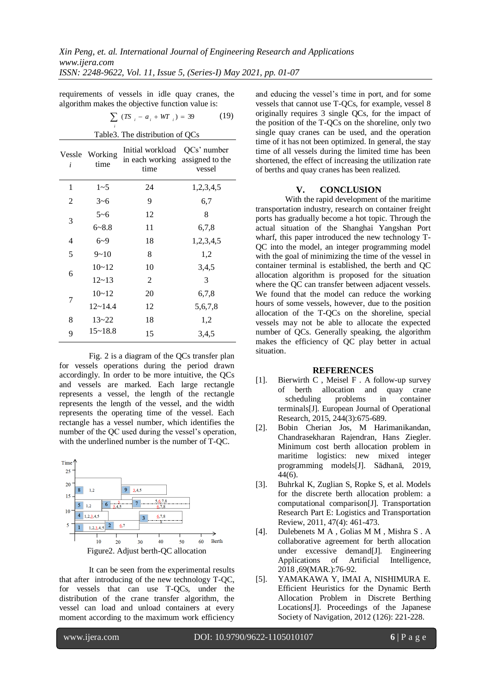requirements of vessels in idle quay cranes, the algorithm makes the objective function value is:

Table3. The distribution of QCs

| $\sum$ (TS $_i - a_i + WT$ ) = 39 | (19) |
|-----------------------------------|------|
|                                   |      |

| Vessle<br>Working<br>time<br>i |             | Initial workload<br>in each working<br>time | QCs' number<br>assigned to the<br>vessel |
|--------------------------------|-------------|---------------------------------------------|------------------------------------------|
| 1                              | $1 - 5$     | 24                                          | 1,2,3,4,5                                |
| 2                              | $3 - 6$     | 9                                           | 6,7                                      |
|                                | $5 - 6$     | 12                                          | 8                                        |
| 3                              | $6 - 8.8$   | 11                                          | 6,7,8                                    |
| 4                              | $6 - 9$     | 18                                          | 1,2,3,4,5                                |
| 5                              | $9 - 10$    | 8                                           | 1,2                                      |
|                                | $10 - 12$   | 10                                          | 3,4,5                                    |
| 6                              | $12 - 13$   | 2                                           | 3                                        |
|                                | $10 - 12$   | 20                                          | 6,7,8                                    |
| 7                              | $12 - 14.4$ | 12                                          | 5,6,7,8                                  |
| 8                              | $13 - 22$   | 18                                          | 1,2                                      |
| 9                              | $15 - 18.8$ | 15                                          | 3,4,5                                    |

Fig. 2 is a diagram of the QCs transfer plan for vessels operations during the period drawn accordingly. In order to be more intuitive, the QCs and vessels are marked. Each large rectangle represents a vessel, the length of the rectangle represents the length of the vessel, and the width represents the operating time of the vessel. Each rectangle has a vessel number, which identifies the number of the QC used during the vessel's operation, with the underlined number is the number of T-QC.



It can be seen from the experimental results that after introducing of the new technology T-QC, for vessels that can use T-QCs, under the distribution of the crane transfer algorithm, the vessel can load and unload containers at every moment according to the maximum work efficiency

and educing the vessel's time in port, and for some vessels that cannot use T-QCs, for example, vessel 8 originally requires 3 single QCs, for the impact of the position of the T-QCs on the shoreline, only two single quay cranes can be used, and the operation time of it has not been optimized. In general, the stay time of all vessels during the limited time has been shortened, the effect of increasing the utilization rate of berths and quay cranes has been realized.

### **V. CONCLUSION**

With the rapid development of the maritime transportation industry, research on container freight ports has gradually become a hot topic. Through the actual situation of the Shanghai Yangshan Port wharf, this paper introduced the new technology T-QC into the model, an integer programming model with the goal of minimizing the time of the vessel in container terminal is established, the berth and QC allocation algorithm is proposed for the situation where the OC can transfer between adjacent vessels. We found that the model can reduce the working hours of some vessels, however, due to the position allocation of the T-QCs on the shoreline, special vessels may not be able to allocate the expected number of QCs. Generally speaking, the algorithm makes the efficiency of QC play better in actual situation.

# **REFERENCES**

- [1]. Bierwirth C , Meisel F . A follow-up survey of berth allocation and quay crane scheduling problems in container terminals[J]. European Journal of Operational Research, 2015, 244(3):675-689.
- [2]. Bobin Cherian Jos, M Harimanikandan, Chandrasekharan Rajendran, Hans Ziegler. Minimum cost berth allocation problem in maritime logistics: new mixed integer programming models[J]. Sādhanā, 2019, 44(6).
- [3]. Buhrkal K, Zuglian S, Ropke S, et al. Models for the discrete berth allocation problem: a computational comparison[J]. Transportation Research Part E: Logistics and Transportation Review, 2011, 47(4): 461-473.
- [4]. Dulebenets M A , Golias M M , Mishra S . A collaborative agreement for berth allocation under excessive demand[J]. Engineering Applications of Artificial Intelligence, 2018 ,69(MAR.):76-92.
- [5]. YAMAKAWA Y, IMAI A, NISHIMURA E. Efficient Heuristics for the Dynamic Berth Allocation Problem in Discrete Berthing Locations[J]. Proceedings of the Japanese Society of Navigation, 2012 (126): 221-228.